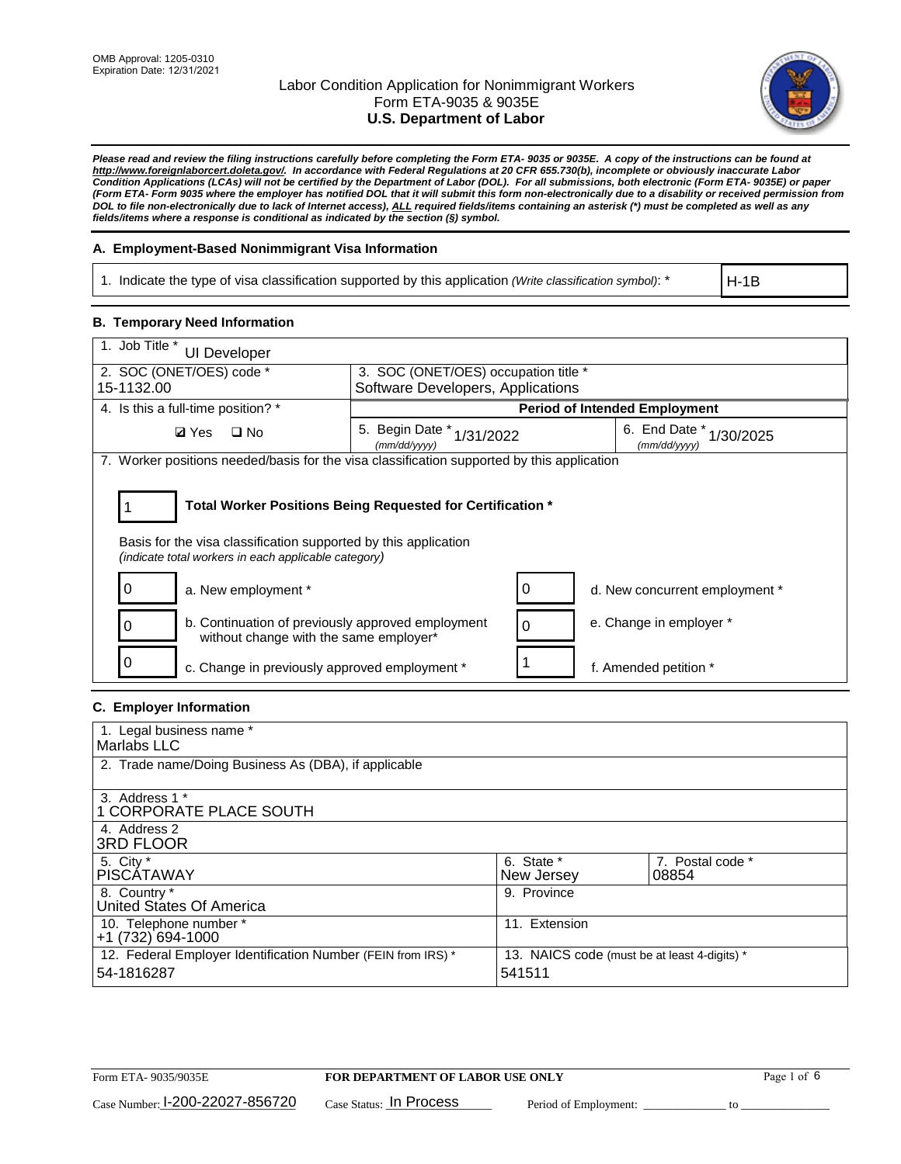

*Please read and review the filing instructions carefully before completing the Form ETA- 9035 or 9035E. A copy of the instructions can be found at http://www.foreignlaborcert.doleta.gov/. In accordance with Federal Regulations at 20 CFR 655.730(b), incomplete or obviously inaccurate Labor Condition Applications (LCAs) will not be certified by the Department of Labor (DOL). For all submissions, both electronic (Form ETA- 9035E) or paper (Form ETA- Form 9035 where the employer has notified DOL that it will submit this form non-electronically due to a disability or received permission from DOL to file non-electronically due to lack of Internet access), ALL required fields/items containing an asterisk (\*) must be completed as well as any fields/items where a response is conditional as indicated by the section (§) symbol.* 

### **A. Employment-Based Nonimmigrant Visa Information**

1. Indicate the type of visa classification supported by this application *(Write classification symbol)*: \*

H-1B

#### **B. Temporary Need Information**

| 1. Job Title *<br><b>UI Developer</b>                                                                                                                                                 |                                                                                         |                                |  |  |  |  |
|---------------------------------------------------------------------------------------------------------------------------------------------------------------------------------------|-----------------------------------------------------------------------------------------|--------------------------------|--|--|--|--|
| 2. SOC (ONET/OES) code *                                                                                                                                                              | 3. SOC (ONET/OES) occupation title *                                                    |                                |  |  |  |  |
| 15-1132.00                                                                                                                                                                            | Software Developers, Applications                                                       |                                |  |  |  |  |
| 4. Is this a full-time position? *                                                                                                                                                    | <b>Period of Intended Employment</b>                                                    |                                |  |  |  |  |
| $\square$ No<br><b>Ø</b> Yes                                                                                                                                                          | 6. End Date *<br>5. Begin Date * 1/31/2022<br>1/30/2025<br>(mm/dd/yyyy)<br>(mm/dd/yyyy) |                                |  |  |  |  |
| 7. Worker positions needed/basis for the visa classification supported by this application                                                                                            |                                                                                         |                                |  |  |  |  |
| Total Worker Positions Being Requested for Certification *<br>Basis for the visa classification supported by this application<br>(indicate total workers in each applicable category) |                                                                                         |                                |  |  |  |  |
| a. New employment *                                                                                                                                                                   |                                                                                         | d. New concurrent employment * |  |  |  |  |
| b. Continuation of previously approved employment<br>without change with the same employer*                                                                                           |                                                                                         | e. Change in employer *        |  |  |  |  |
| c. Change in previously approved employment *                                                                                                                                         |                                                                                         | f. Amended petition *          |  |  |  |  |

### **C. Employer Information**

| 1. Legal business name *                                                   |                                                        |                           |
|----------------------------------------------------------------------------|--------------------------------------------------------|---------------------------|
| Marlabs LLC                                                                |                                                        |                           |
| 2. Trade name/Doing Business As (DBA), if applicable                       |                                                        |                           |
| 3. Address 1 *<br>1 CORPORATE PLACE SOUTH<br>4. Address 2                  |                                                        |                           |
| <b>3RD FLOOR</b>                                                           |                                                        |                           |
| 5. City *<br><b>PISCÁTAWAY</b>                                             | 6. State *<br>New Jersey                               | 7. Postal code *<br>08854 |
| 8. Country *<br>United States Of America                                   | 9. Province                                            |                           |
| 10. Telephone number *<br>$+1(732)694-1000$                                | 11. Extension                                          |                           |
| 12. Federal Employer Identification Number (FEIN from IRS) *<br>54-1816287 | 13. NAICS code (must be at least 4-digits) *<br>541511 |                           |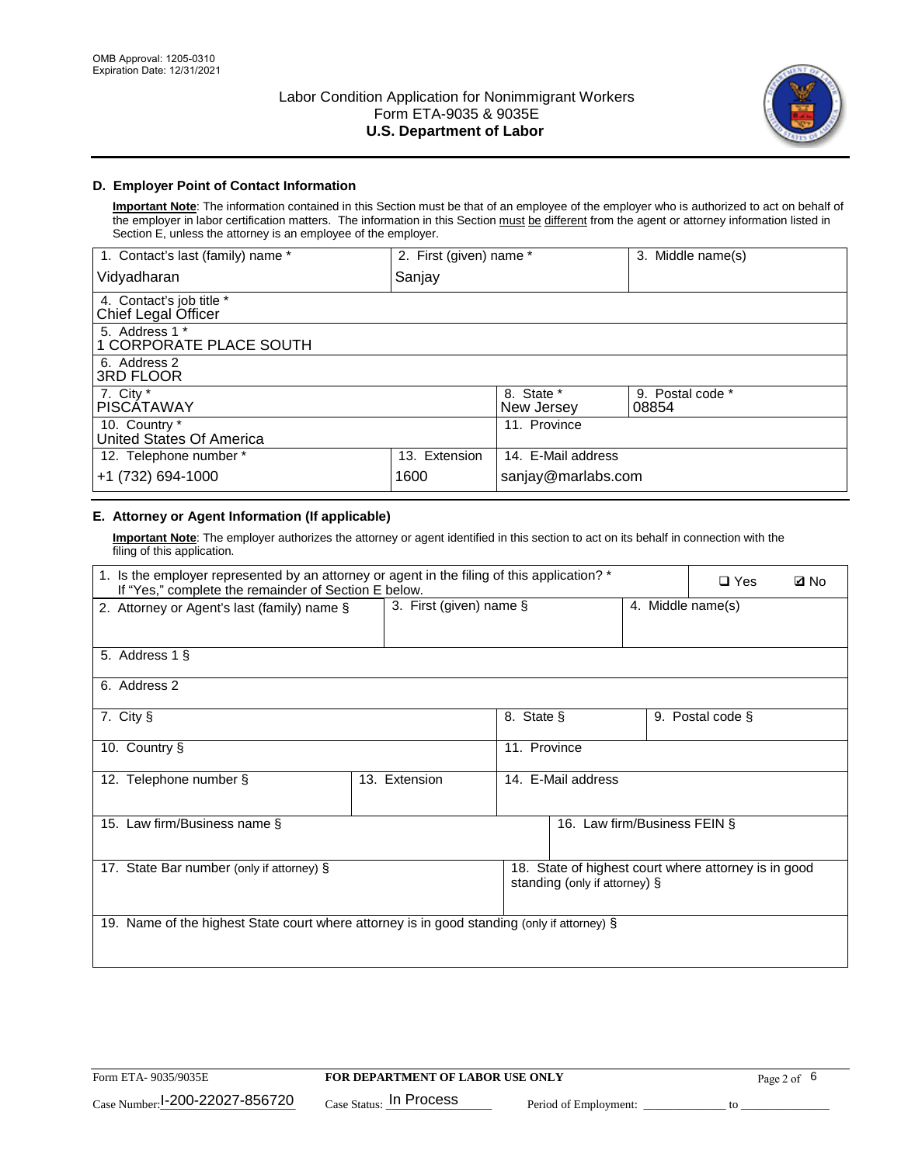

## **D. Employer Point of Contact Information**

**Important Note**: The information contained in this Section must be that of an employee of the employer who is authorized to act on behalf of the employer in labor certification matters. The information in this Section must be different from the agent or attorney information listed in Section E, unless the attorney is an employee of the employer.

| 1. Contact's last (family) name *               | 2. First (given) name * |                          | 3. Middle name(s)         |
|-------------------------------------------------|-------------------------|--------------------------|---------------------------|
| Vidyadharan                                     | Sanjay                  |                          |                           |
| 4. Contact's job title *<br>Chief Legal Officer |                         |                          |                           |
| 5. Address 1 *<br>1 CORPORATE PLACE SOUTH       |                         |                          |                           |
| 6. Address 2<br><b>3RD FLOOR</b>                |                         |                          |                           |
| 7. City *<br><b>PISCÁTAWAY</b>                  |                         | 8. State *<br>New Jersey | 9. Postal code *<br>08854 |
| 10. Country *<br>United States Of America       |                         | 11. Province             |                           |
| 12. Telephone number *                          | 13. Extension           | 14. E-Mail address       |                           |
| +1 (732) 694-1000                               | 1600                    | sanjay@marlabs.com       |                           |

## **E. Attorney or Agent Information (If applicable)**

**Important Note**: The employer authorizes the attorney or agent identified in this section to act on its behalf in connection with the filing of this application.

| 1. Is the employer represented by an attorney or agent in the filing of this application? *<br>If "Yes," complete the remainder of Section E below. |                         |              |                               |                   |                                                      | <b>ØNo</b> |
|-----------------------------------------------------------------------------------------------------------------------------------------------------|-------------------------|--------------|-------------------------------|-------------------|------------------------------------------------------|------------|
| 2. Attorney or Agent's last (family) name §                                                                                                         | 3. First (given) name § |              |                               | 4. Middle name(s) |                                                      |            |
| 5. Address 1 §                                                                                                                                      |                         |              |                               |                   |                                                      |            |
| 6. Address 2                                                                                                                                        |                         |              |                               |                   |                                                      |            |
| 7. City §                                                                                                                                           |                         | 8. State §   |                               |                   | 9. Postal code §                                     |            |
| 10. Country §                                                                                                                                       |                         | 11. Province |                               |                   |                                                      |            |
| 12. Telephone number §                                                                                                                              | 13. Extension           |              | 14. E-Mail address            |                   |                                                      |            |
| 15. Law firm/Business name §                                                                                                                        |                         |              | 16. Law firm/Business FEIN §  |                   |                                                      |            |
| 17. State Bar number (only if attorney) §                                                                                                           |                         |              | standing (only if attorney) § |                   | 18. State of highest court where attorney is in good |            |
| 19. Name of the highest State court where attorney is in good standing (only if attorney) §                                                         |                         |              |                               |                   |                                                      |            |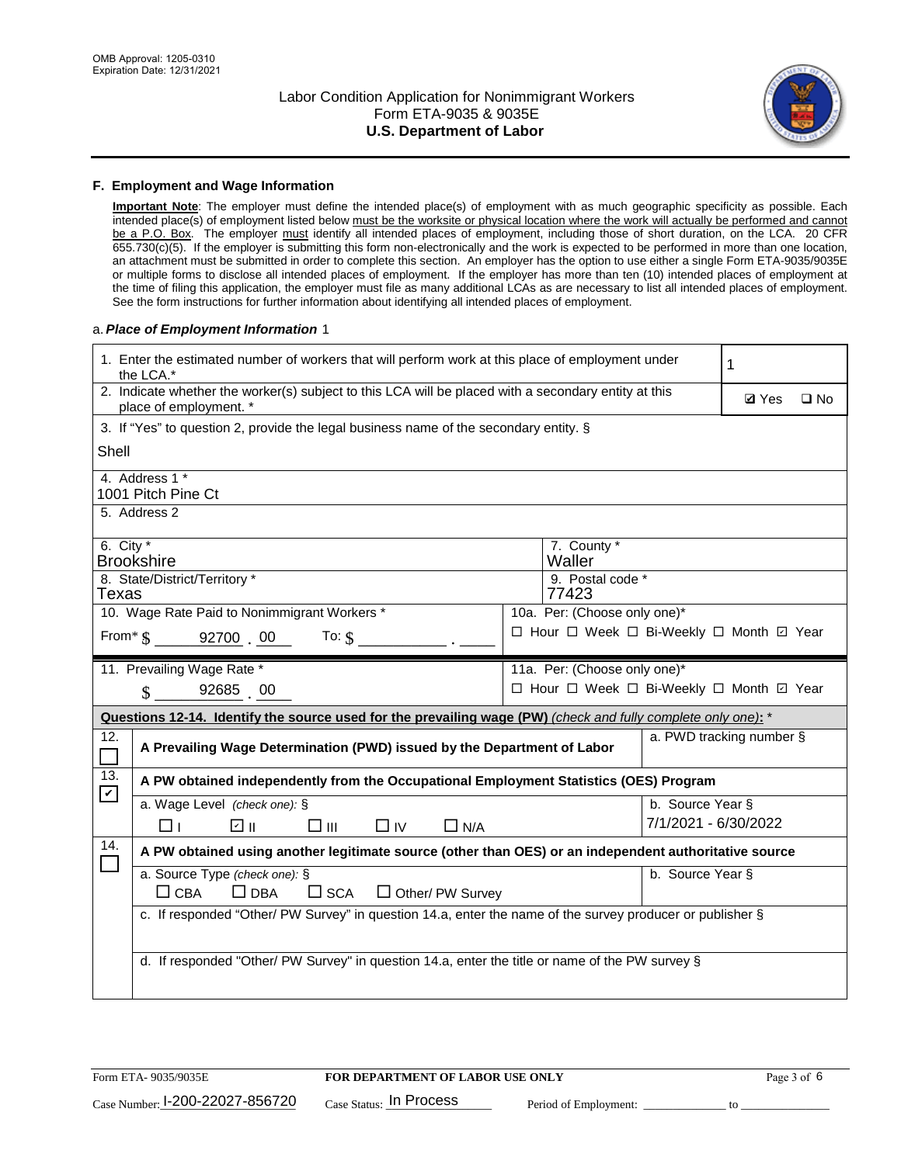

#### **F. Employment and Wage Information**

**Important Note**: The employer must define the intended place(s) of employment with as much geographic specificity as possible. Each intended place(s) of employment listed below must be the worksite or physical location where the work will actually be performed and cannot be a P.O. Box. The employer must identify all intended places of employment, including those of short duration, on the LCA. 20 CFR 655.730(c)(5). If the employer is submitting this form non-electronically and the work is expected to be performed in more than one location, an attachment must be submitted in order to complete this section. An employer has the option to use either a single Form ETA-9035/9035E or multiple forms to disclose all intended places of employment. If the employer has more than ten (10) intended places of employment at the time of filing this application, the employer must file as many additional LCAs as are necessary to list all intended places of employment. See the form instructions for further information about identifying all intended places of employment.

#### a.*Place of Employment Information* 1

|                                                                           | 1. Enter the estimated number of workers that will perform work at this place of employment under<br>the LCA.*                 |  |                                          |                          |              |              |  |
|---------------------------------------------------------------------------|--------------------------------------------------------------------------------------------------------------------------------|--|------------------------------------------|--------------------------|--------------|--------------|--|
|                                                                           | 2. Indicate whether the worker(s) subject to this LCA will be placed with a secondary entity at this<br>place of employment. * |  |                                          |                          | <b>Ø</b> Yes | $\square$ No |  |
|                                                                           | 3. If "Yes" to question 2, provide the legal business name of the secondary entity. §                                          |  |                                          |                          |              |              |  |
| Shell                                                                     |                                                                                                                                |  |                                          |                          |              |              |  |
|                                                                           | 4. Address 1 *<br>1001 Pitch Pine Ct                                                                                           |  |                                          |                          |              |              |  |
| 5. Address 2                                                              |                                                                                                                                |  |                                          |                          |              |              |  |
|                                                                           | 6. City $*$<br>7. County *<br>Waller<br><b>Brookshire</b>                                                                      |  |                                          |                          |              |              |  |
| 8. State/District/Territory *<br>9. Postal code *<br>77423<br>Texas       |                                                                                                                                |  |                                          |                          |              |              |  |
| 10. Wage Rate Paid to Nonimmigrant Workers *                              |                                                                                                                                |  | 10a. Per: (Choose only one)*             |                          |              |              |  |
| □ Hour □ Week □ Bi-Weekly □ Month ☑ Year<br>From $\$$ 92700 00<br>To: $$$ |                                                                                                                                |  |                                          |                          |              |              |  |
|                                                                           | 11. Prevailing Wage Rate *                                                                                                     |  | 11a. Per: (Choose only one)*             |                          |              |              |  |
|                                                                           | 92685 00<br>$\mathcal{S}$                                                                                                      |  | □ Hour □ Week □ Bi-Weekly □ Month ☑ Year |                          |              |              |  |
|                                                                           | Questions 12-14. Identify the source used for the prevailing wage (PW) (check and fully complete only one): *                  |  |                                          |                          |              |              |  |
| 12.                                                                       | A Prevailing Wage Determination (PWD) issued by the Department of Labor                                                        |  |                                          | a. PWD tracking number § |              |              |  |
| 13.<br>$\blacktriangledown$                                               | A PW obtained independently from the Occupational Employment Statistics (OES) Program                                          |  |                                          |                          |              |              |  |
|                                                                           | a. Wage Level (check one): §                                                                                                   |  |                                          | b. Source Year §         |              |              |  |
|                                                                           | ☑ ⊪<br>□⊪<br>⊓⊥<br>$\Box$ IV<br>$\Box$ N/A                                                                                     |  |                                          | 7/1/2021 - 6/30/2022     |              |              |  |
| 14.                                                                       | A PW obtained using another legitimate source (other than OES) or an independent authoritative source                          |  |                                          |                          |              |              |  |
|                                                                           | a. Source Type (check one): §<br>b. Source Year §<br>$\Box$ CBA<br>$\Box$ DBA<br>$\square$ SCA<br>$\Box$ Other/ PW Survey      |  |                                          |                          |              |              |  |
|                                                                           | c. If responded "Other/ PW Survey" in question 14.a, enter the name of the survey producer or publisher §                      |  |                                          |                          |              |              |  |
|                                                                           | d. If responded "Other/ PW Survey" in question 14.a, enter the title or name of the PW survey §                                |  |                                          |                          |              |              |  |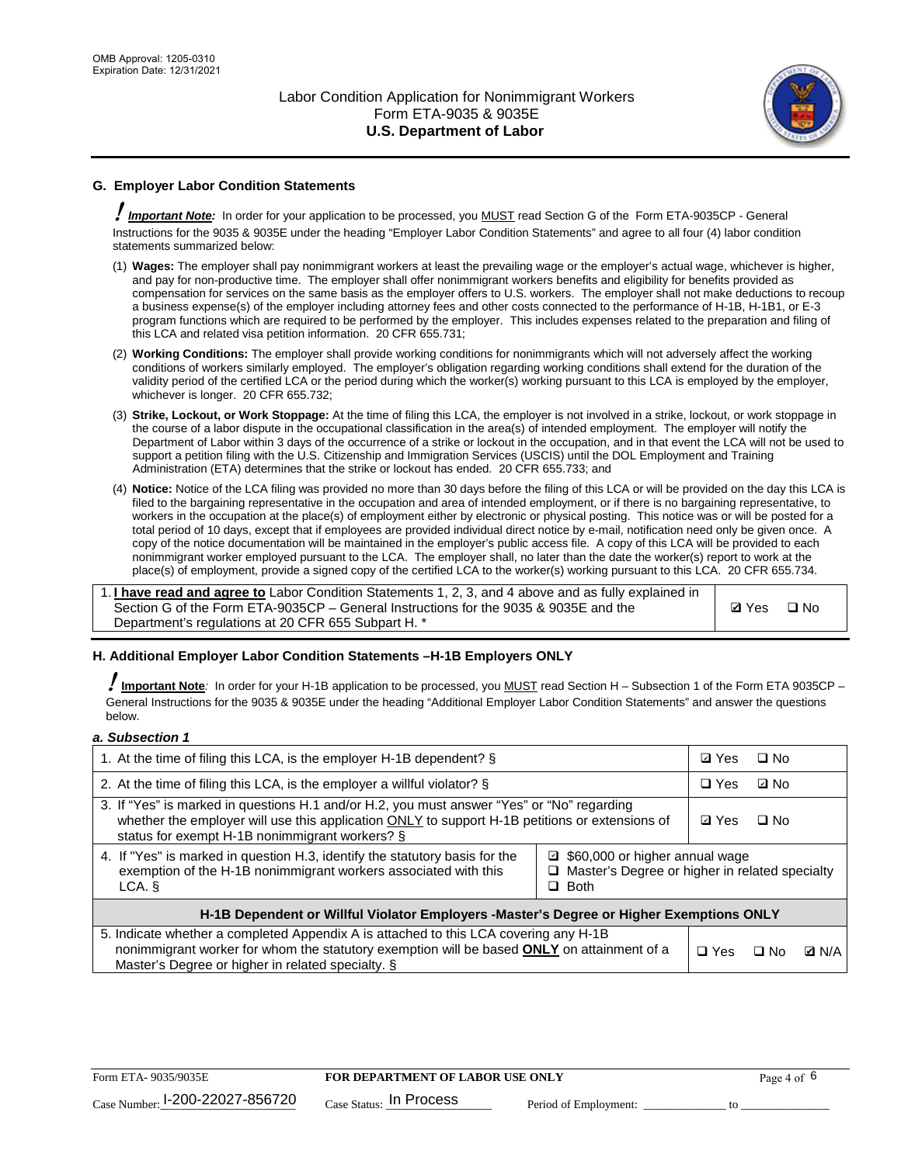

## **G. Employer Labor Condition Statements**

! *Important Note:* In order for your application to be processed, you MUST read Section G of the Form ETA-9035CP - General Instructions for the 9035 & 9035E under the heading "Employer Labor Condition Statements" and agree to all four (4) labor condition statements summarized below:

- (1) **Wages:** The employer shall pay nonimmigrant workers at least the prevailing wage or the employer's actual wage, whichever is higher, and pay for non-productive time. The employer shall offer nonimmigrant workers benefits and eligibility for benefits provided as compensation for services on the same basis as the employer offers to U.S. workers. The employer shall not make deductions to recoup a business expense(s) of the employer including attorney fees and other costs connected to the performance of H-1B, H-1B1, or E-3 program functions which are required to be performed by the employer. This includes expenses related to the preparation and filing of this LCA and related visa petition information. 20 CFR 655.731;
- (2) **Working Conditions:** The employer shall provide working conditions for nonimmigrants which will not adversely affect the working conditions of workers similarly employed. The employer's obligation regarding working conditions shall extend for the duration of the validity period of the certified LCA or the period during which the worker(s) working pursuant to this LCA is employed by the employer, whichever is longer. 20 CFR 655.732;
- (3) **Strike, Lockout, or Work Stoppage:** At the time of filing this LCA, the employer is not involved in a strike, lockout, or work stoppage in the course of a labor dispute in the occupational classification in the area(s) of intended employment. The employer will notify the Department of Labor within 3 days of the occurrence of a strike or lockout in the occupation, and in that event the LCA will not be used to support a petition filing with the U.S. Citizenship and Immigration Services (USCIS) until the DOL Employment and Training Administration (ETA) determines that the strike or lockout has ended. 20 CFR 655.733; and
- (4) **Notice:** Notice of the LCA filing was provided no more than 30 days before the filing of this LCA or will be provided on the day this LCA is filed to the bargaining representative in the occupation and area of intended employment, or if there is no bargaining representative, to workers in the occupation at the place(s) of employment either by electronic or physical posting. This notice was or will be posted for a total period of 10 days, except that if employees are provided individual direct notice by e-mail, notification need only be given once. A copy of the notice documentation will be maintained in the employer's public access file. A copy of this LCA will be provided to each nonimmigrant worker employed pursuant to the LCA. The employer shall, no later than the date the worker(s) report to work at the place(s) of employment, provide a signed copy of the certified LCA to the worker(s) working pursuant to this LCA. 20 CFR 655.734.

1. **I have read and agree to** Labor Condition Statements 1, 2, 3, and 4 above and as fully explained in Section G of the Form ETA-9035CP – General Instructions for the 9035 & 9035E and the Department's regulations at 20 CFR 655 Subpart H. \*

**Ø**Yes ロNo

#### **H. Additional Employer Labor Condition Statements –H-1B Employers ONLY**

!**Important Note***:* In order for your H-1B application to be processed, you MUST read Section H – Subsection 1 of the Form ETA 9035CP – General Instructions for the 9035 & 9035E under the heading "Additional Employer Labor Condition Statements" and answer the questions below.

#### *a. Subsection 1*

| 1. At the time of filing this LCA, is the employer H-1B dependent? §                                                                                                                                                                                            | ⊡ Yes      | $\square$ No |              |  |
|-----------------------------------------------------------------------------------------------------------------------------------------------------------------------------------------------------------------------------------------------------------------|------------|--------------|--------------|--|
| 2. At the time of filing this LCA, is the employer a willful violator? $\S$                                                                                                                                                                                     |            | $\Box$ Yes   | ⊡ No         |  |
| 3. If "Yes" is marked in questions H.1 and/or H.2, you must answer "Yes" or "No" regarding<br>whether the employer will use this application ONLY to support H-1B petitions or extensions of<br>status for exempt H-1B nonimmigrant workers? §                  |            |              | $\Box$ No    |  |
| 4. If "Yes" is marked in question H.3, identify the statutory basis for the<br>■ \$60,000 or higher annual wage<br>exemption of the H-1B nonimmigrant workers associated with this<br>□ Master's Degree or higher in related specialty<br>$\Box$ Both<br>LCA. § |            |              |              |  |
| H-1B Dependent or Willful Violator Employers -Master's Degree or Higher Exemptions ONLY                                                                                                                                                                         |            |              |              |  |
| 5. Indicate whether a completed Appendix A is attached to this LCA covering any H-1B<br>nonimmigrant worker for whom the statutory exemption will be based <b>ONLY</b> on attainment of a<br>Master's Degree or higher in related specialty. §                  | $\Box$ Yes | ⊡ No         | <b>Q</b> N/A |  |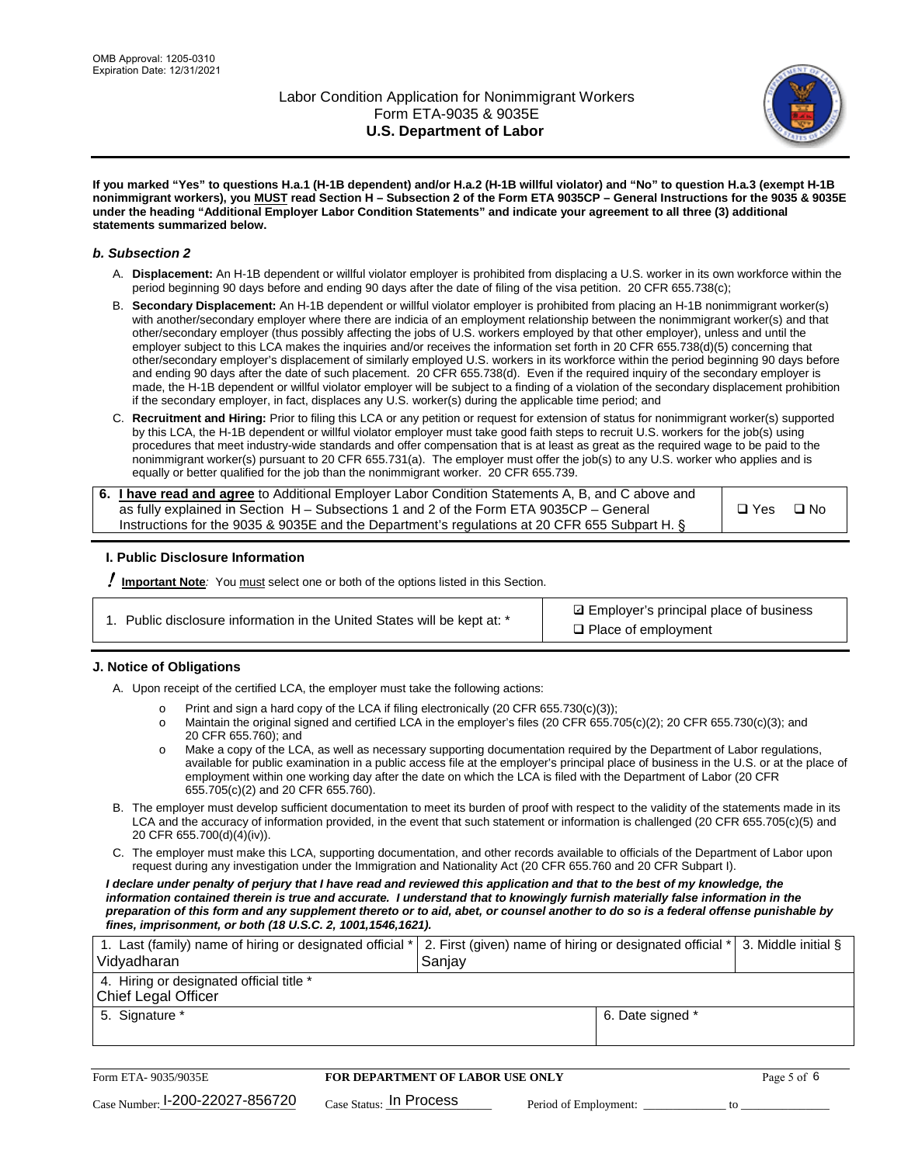

**If you marked "Yes" to questions H.a.1 (H-1B dependent) and/or H.a.2 (H-1B willful violator) and "No" to question H.a.3 (exempt H-1B nonimmigrant workers), you MUST read Section H – Subsection 2 of the Form ETA 9035CP – General Instructions for the 9035 & 9035E under the heading "Additional Employer Labor Condition Statements" and indicate your agreement to all three (3) additional statements summarized below.**

#### *b. Subsection 2*

- A. **Displacement:** An H-1B dependent or willful violator employer is prohibited from displacing a U.S. worker in its own workforce within the period beginning 90 days before and ending 90 days after the date of filing of the visa petition. 20 CFR 655.738(c);
- B. **Secondary Displacement:** An H-1B dependent or willful violator employer is prohibited from placing an H-1B nonimmigrant worker(s) with another/secondary employer where there are indicia of an employment relationship between the nonimmigrant worker(s) and that other/secondary employer (thus possibly affecting the jobs of U.S. workers employed by that other employer), unless and until the employer subject to this LCA makes the inquiries and/or receives the information set forth in 20 CFR 655.738(d)(5) concerning that other/secondary employer's displacement of similarly employed U.S. workers in its workforce within the period beginning 90 days before and ending 90 days after the date of such placement. 20 CFR 655.738(d). Even if the required inquiry of the secondary employer is made, the H-1B dependent or willful violator employer will be subject to a finding of a violation of the secondary displacement prohibition if the secondary employer, in fact, displaces any U.S. worker(s) during the applicable time period; and
- C. **Recruitment and Hiring:** Prior to filing this LCA or any petition or request for extension of status for nonimmigrant worker(s) supported by this LCA, the H-1B dependent or willful violator employer must take good faith steps to recruit U.S. workers for the job(s) using procedures that meet industry-wide standards and offer compensation that is at least as great as the required wage to be paid to the nonimmigrant worker(s) pursuant to 20 CFR 655.731(a). The employer must offer the job(s) to any U.S. worker who applies and is equally or better qualified for the job than the nonimmigrant worker. 20 CFR 655.739.

| 6. I have read and agree to Additional Employer Labor Condition Statements A, B, and C above and |       |           |
|--------------------------------------------------------------------------------------------------|-------|-----------|
| as fully explained in Section H – Subsections 1 and 2 of the Form ETA 9035CP – General           | □ Yes | $\Box$ No |
| Instructions for the 9035 & 9035E and the Department's regulations at 20 CFR 655 Subpart H. §    |       |           |

#### **I. Public Disclosure Information**

! **Important Note***:* You must select one or both of the options listed in this Section.

|  | 1. Public disclosure information in the United States will be kept at: * |  |  |  |
|--|--------------------------------------------------------------------------|--|--|--|
|  |                                                                          |  |  |  |

**sqrt** Employer's principal place of business □ Place of employment

#### **J. Notice of Obligations**

A. Upon receipt of the certified LCA, the employer must take the following actions:

- o Print and sign a hard copy of the LCA if filing electronically (20 CFR 655.730(c)(3));<br>
Maintain the original signed and certified LCA in the employer's files (20 CFR 655.7
- Maintain the original signed and certified LCA in the employer's files (20 CFR 655.705(c)(2); 20 CFR 655.730(c)(3); and 20 CFR 655.760); and
- o Make a copy of the LCA, as well as necessary supporting documentation required by the Department of Labor regulations, available for public examination in a public access file at the employer's principal place of business in the U.S. or at the place of employment within one working day after the date on which the LCA is filed with the Department of Labor (20 CFR 655.705(c)(2) and 20 CFR 655.760).
- B. The employer must develop sufficient documentation to meet its burden of proof with respect to the validity of the statements made in its LCA and the accuracy of information provided, in the event that such statement or information is challenged (20 CFR 655.705(c)(5) and 20 CFR 655.700(d)(4)(iv)).
- C. The employer must make this LCA, supporting documentation, and other records available to officials of the Department of Labor upon request during any investigation under the Immigration and Nationality Act (20 CFR 655.760 and 20 CFR Subpart I).

*I declare under penalty of perjury that I have read and reviewed this application and that to the best of my knowledge, the*  information contained therein is true and accurate. I understand that to knowingly furnish materially false information in the *preparation of this form and any supplement thereto or to aid, abet, or counsel another to do so is a federal offense punishable by fines, imprisonment, or both (18 U.S.C. 2, 1001,1546,1621).*

| 1. Last (family) name of hiring or designated official *   2. First (given) name of hiring or designated official *   3. Middle initial §<br>Vidyadharan | Saniav           |  |
|----------------------------------------------------------------------------------------------------------------------------------------------------------|------------------|--|
| 4. Hiring or designated official title *<br>Chief Legal Officer                                                                                          |                  |  |
| 5. Signature *                                                                                                                                           | 6. Date signed * |  |

| Form ETA-9035/9035E             | <b>FOR DEPARTMENT OF LABOR USE ONLY</b> |                       |  |
|---------------------------------|-----------------------------------------|-----------------------|--|
| Case Number: 1-200-22027-856720 | $_{\rm Case~S status:}$ In Process      | Period of Employment: |  |